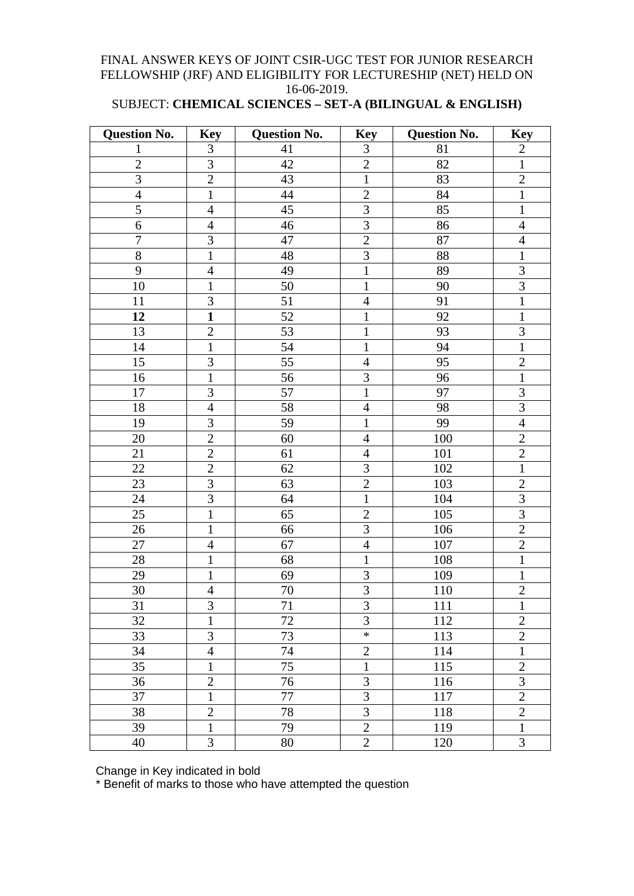### FINAL ANSWER KEYS OF JOINT CSIR-UGC TEST FOR JUNIOR RESEARCH FELLOWSHIP (JRF) AND ELIGIBILITY FOR LECTURESHIP (NET) HELD ON 16-06-2019.

## SUBJECT: **CHEMICAL SCIENCES – SET-A (BILINGUAL & ENGLISH)**

| <b>Question No.</b> | <b>Key</b>     | <b>Question No.</b> | <b>Key</b>     | <b>Question No.</b> | <b>Key</b>     |
|---------------------|----------------|---------------------|----------------|---------------------|----------------|
| 1                   | $\mathfrak{Z}$ | 41                  | 3              | 81                  | $\overline{2}$ |
| $\overline{2}$      | $\overline{3}$ | 42                  | $\overline{2}$ | 82                  | $\mathbf{1}$   |
| $\overline{3}$      | $\overline{2}$ | 43                  | $\mathbf{1}$   | 83                  | $\overline{2}$ |
| $\overline{4}$      | $\mathbf{1}$   | 44                  | $\overline{2}$ | 84                  | $\mathbf{1}$   |
| 5                   | $\overline{4}$ | 45                  | 3              | 85                  | $\mathbf{1}$   |
| 6                   | $\overline{4}$ | 46                  | 3              | 86                  | $\overline{4}$ |
| $\overline{7}$      | 3              | 47                  | $\overline{2}$ | 87                  | $\overline{4}$ |
| $8\,$               | $\mathbf{1}$   | 48                  | $\mathfrak{Z}$ | 88                  | $\mathbf 1$    |
| 9                   | $\overline{4}$ | 49                  | $\mathbf{1}$   | 89                  | 3              |
| 10                  | $\mathbf{1}$   | 50                  | $\mathbf{1}$   | 90                  | 3              |
| 11                  | 3              | 51                  | $\overline{4}$ | 91                  | $\,1$          |
| 12                  | $\mathbf{1}$   | 52                  | $\mathbf{1}$   | 92                  | $\mathbf{1}$   |
| 13                  | $\overline{2}$ | 53                  | $\mathbf{1}$   | 93                  | 3              |
| 14                  | $\mathbf{1}$   | 54                  | $\mathbf{1}$   | 94                  | $\mathbf{1}$   |
| 15                  | 3              | 55                  | $\overline{4}$ | 95                  | $\overline{2}$ |
| 16                  | $\mathbf{1}$   | 56                  | 3              | 96                  | $\mathbf{1}$   |
| 17                  | 3              | 57                  | $\mathbf{1}$   | 97                  | $\mathfrak{Z}$ |
| 18                  | $\overline{4}$ | 58                  | $\overline{4}$ | 98                  | $\overline{3}$ |
| 19                  | $\overline{3}$ | 59                  | $\mathbf{1}$   | 99                  | $\overline{4}$ |
| 20                  | $\overline{2}$ | 60                  | $\overline{4}$ | 100                 | $\mathfrak{2}$ |
| 21                  | $\mathbf{2}$   | 61                  | $\overline{4}$ | 101                 | $\overline{c}$ |
| 22                  | $\overline{2}$ | 62                  | 3              | 102                 | $\mathbf{1}$   |
| 23                  | 3              | 63                  | $\overline{2}$ | 103                 | $\overline{2}$ |
| 24                  | $\overline{3}$ | 64                  | $\mathbf{1}$   | 104                 | 3              |
| 25                  | $\mathbf 1$    | 65                  | $\overline{2}$ | 105                 | 3              |
| $26\,$              | $\mathbf{1}$   | 66                  | $\overline{3}$ | 106                 | $\overline{2}$ |
| 27                  | $\overline{4}$ | 67                  | $\overline{4}$ | 107                 | $\overline{2}$ |
| 28                  | $\mathbf{1}$   | 68                  | $\mathbf{1}$   | 108                 | $\mathbf 1$    |
| 29                  | $\mathbf{1}$   | 69                  | $\mathfrak{Z}$ | 109                 | $\mathbf{1}$   |
| 30                  | $\overline{4}$ | 70                  | $\overline{3}$ | 110                 | $\overline{2}$ |
| 31                  | $\mathfrak{Z}$ | 71                  | $\mathfrak{Z}$ | 111                 | $\mathbf{1}$   |
| 32                  | $\mathbf{1}$   | 72                  | $\overline{3}$ | 112                 | $\overline{2}$ |
| 33                  | 3              | 73                  | $\ast$         | 113                 | $\mathbf{2}$   |
| 34                  | $\overline{4}$ | 74                  | $\mathbf{2}$   | 114                 | $\mathbf{1}$   |
| 35                  | 1              | 75                  | $\mathbf{1}$   | 115                 | $\mathbf{2}$   |
| 36                  | $\overline{2}$ | 76                  | 3              | 116                 | 3              |
| 37                  | $\mathbf{1}$   | 77                  | 3              | 117                 | $\overline{2}$ |
| 38                  | $\mathbf{2}$   | 78                  | 3              | 118                 | $\mathbf{2}$   |
| 39                  | $\mathbf{1}$   | 79                  | $\overline{2}$ | 119                 | $\mathbf{1}$   |
| 40                  | 3              | 80                  | $\overline{2}$ | 120                 | $\overline{3}$ |

Change in Key indicated in bold

\* Benefit of marks to those who have attempted the question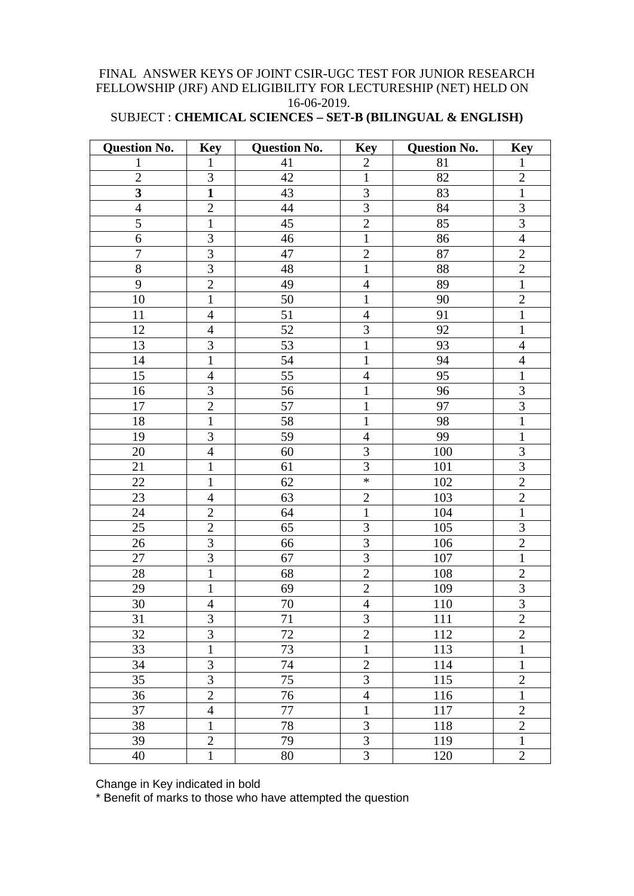#### FINAL ANSWER KEYS OF JOINT CSIR-UGC TEST FOR JUNIOR RESEARCH FELLOWSHIP (JRF) AND ELIGIBILITY FOR LECTURESHIP (NET) HELD ON 16-06-2019.

#### SUBJECT : **CHEMICAL SCIENCES – SET-B (BILINGUAL & ENGLISH)**

| <b>Question No.</b>     | <b>Key</b>     | <b>Question No.</b> | <b>Key</b>     | <b>Question No.</b> | <b>Key</b>     |
|-------------------------|----------------|---------------------|----------------|---------------------|----------------|
| 1                       | $\mathbf{1}$   | 41                  | $\mathbf{2}$   | 81                  | $\mathbf 1$    |
| $\overline{2}$          | $\overline{3}$ | 42                  | $\mathbf{1}$   | 82                  | $\sqrt{2}$     |
| $\overline{\mathbf{3}}$ | $\mathbf{1}$   | 43                  | 3              | 83                  | $\mathbf{1}$   |
| $\overline{4}$          | $\overline{2}$ | $44\,$              | $\overline{3}$ | 84                  | $\overline{3}$ |
| 5                       | $\mathbf{1}$   | 45                  | $\overline{2}$ | 85                  | $\mathfrak{Z}$ |
| 6                       | $\overline{3}$ | 46                  | $\mathbf{1}$   | 86                  | $\overline{4}$ |
| $\boldsymbol{7}$        | $\overline{3}$ | 47                  | $\overline{2}$ | 87                  | $\overline{2}$ |
| $8\,$                   | 3              | 48                  | $\mathbf{1}$   | 88                  | $\mathbf{2}$   |
| 9                       | $\overline{2}$ | 49                  | $\overline{4}$ | 89                  | $\,1$          |
| 10                      | $\mathbf{1}$   | 50                  | $\mathbf{1}$   | 90                  | $\mathbf{2}$   |
| 11                      | $\overline{4}$ | 51                  | $\overline{4}$ | 91                  | $\mathbf{1}$   |
| 12                      | $\overline{4}$ | 52                  | 3              | 92                  | $\mathbf{1}$   |
| 13                      | 3              | 53                  | $\mathbf{1}$   | 93                  | $\overline{4}$ |
| 14                      | $\mathbf{1}$   | $\overline{54}$     | $\mathbf{1}$   | 94                  | $\overline{4}$ |
| 15                      | $\overline{4}$ | 55                  | $\overline{4}$ | 95                  | $\mathbf{1}$   |
| 16                      | 3              | 56                  | $\mathbf 1$    | 96                  | 3              |
| $17\,$                  | $\overline{2}$ | 57                  | $\mathbf{1}$   | 97                  | $\overline{3}$ |
| 18                      | $\mathbf{1}$   | 58                  | $\mathbf{1}$   | 98                  | $\overline{1}$ |
| 19                      | $\overline{3}$ | 59                  | $\overline{4}$ | 99                  | $\mathbf{1}$   |
| 20                      | $\overline{4}$ | 60                  | 3              | 100                 | $\mathfrak{Z}$ |
| 21                      | $\mathbf{1}$   | 61                  | $\overline{3}$ | 101                 | $\overline{3}$ |
| 22                      | $\mathbf{1}$   | 62                  | $\ast$         | 102                 | $\sqrt{2}$     |
| 23                      | $\overline{4}$ | 63                  | $\overline{2}$ | 103                 | $\sqrt{2}$     |
| 24                      | $\overline{2}$ | 64                  | $\mathbf{1}$   | 104                 | $\mathbf{1}$   |
| 25                      | $\overline{2}$ | 65                  | 3              | 105                 | $\mathfrak{Z}$ |
| 26                      | 3              | 66                  | 3              | 106                 | $\sqrt{2}$     |
| $27\,$                  | 3              | 67                  | 3              | 107                 | $\mathbf{1}$   |
| $28\,$                  | $\mathbf{1}$   | 68                  | $\overline{2}$ | 108                 | $\sqrt{2}$     |
| 29                      | $\mathbf{1}$   | 69                  | $\overline{2}$ | 109                 | $\overline{3}$ |
| $30\,$                  | $\overline{4}$ | 70                  | $\overline{4}$ | 110                 | $\overline{3}$ |
| 31                      | 3              | 71                  | 3              | 111                 | $\overline{2}$ |
| 32                      | $\overline{3}$ | 72                  | $\overline{2}$ | 112                 | $\overline{2}$ |
| 33                      | $\mathbf{1}$   | 73                  | $\mathbf{1}$   | 113                 | $\mathbf{1}$   |
| 34                      | $\overline{3}$ | 74                  | $\overline{2}$ | 114                 | $\mathbf{1}$   |
| 35                      | 3              | 75                  | 3              | 115                 | $\overline{c}$ |
| 36                      | $\overline{2}$ | 76                  | $\overline{4}$ | 116                 | $\mathbf{1}$   |
| 37                      | $\overline{4}$ | 77                  | $\mathbf{1}$   | 117                 | $\overline{2}$ |
| 38                      | $\mathbf{1}$   | 78                  | 3              | 118                 | $\sqrt{2}$     |
| 39                      | $\overline{2}$ | 79                  | 3              | 119                 | $\mathbf{1}$   |
| 40                      | $\mathbf{1}$   | 80                  | 3              | 120                 | $\overline{2}$ |

Change in Key indicated in bold

\* Benefit of marks to those who have attempted the question